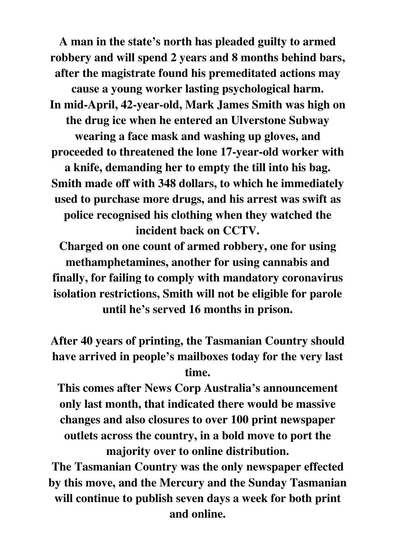**A man in the state's north has pleaded guilty to armed robbery and will spend 2 years and 8 months behind bars, after the magistrate found his premeditated actions may cause a young worker lasting psychological harm. In mid-April, 42-year-old, Mark James Smith was high on the drug ice when he entered an Ulverstone Subway wearing a face mask and washing up gloves, and proceeded to threatened the lone 17-year-old worker with a knife, demanding her to empty the till into his bag. Smith made off with 348 dollars, to which he immediately used to purchase more drugs, and his arrest was swift as police recognised his clothing when they watched the incident back on CCTV.** 

**Charged on one count of armed robbery, one for using methamphetamines, another for using cannabis and finally, for failing to comply with mandatory coronavirus isolation restrictions, Smith will not be eligible for parole until he's served 16 months in prison.** 

**After 40 years of printing, the Tasmanian Country should have arrived in people's mailboxes today for the very last time.** 

**This comes after News Corp Australia's announcement only last month, that indicated there would be massive changes and also closures to over 100 print newspaper outlets across the country, in a bold move to port the majority over to online distribution.** 

**The Tasmanian Country was the only newspaper effected by this move, and the Mercury and the Sunday Tasmanian will continue to publish seven days a week for both print and online.**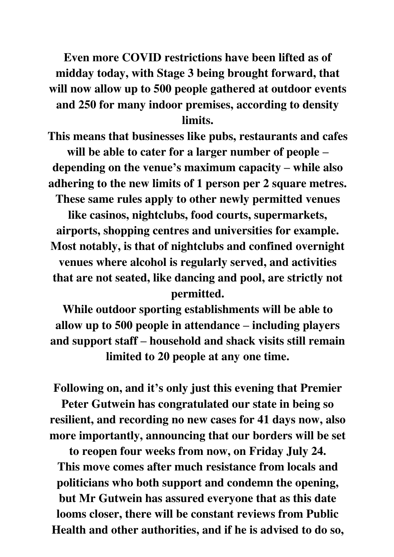**Even more COVID restrictions have been lifted as of midday today, with Stage 3 being brought forward, that will now allow up to 500 people gathered at outdoor events and 250 for many indoor premises, according to density limits.** 

**This means that businesses like pubs, restaurants and cafes will be able to cater for a larger number of people – depending on the venue's maximum capacity – while also adhering to the new limits of 1 person per 2 square metres. These same rules apply to other newly permitted venues** 

**like casinos, nightclubs, food courts, supermarkets, airports, shopping centres and universities for example. Most notably, is that of nightclubs and confined overnight venues where alcohol is regularly served, and activities that are not seated, like dancing and pool, are strictly not permitted.** 

**While outdoor sporting establishments will be able to allow up to 500 people in attendance – including players and support staff – household and shack visits still remain limited to 20 people at any one time.** 

**Following on, and it's only just this evening that Premier** 

**Peter Gutwein has congratulated our state in being so resilient, and recording no new cases for 41 days now, also more importantly, announcing that our borders will be set** 

**to reopen four weeks from now, on Friday July 24. This move comes after much resistance from locals and politicians who both support and condemn the opening, but Mr Gutwein has assured everyone that as this date looms closer, there will be constant reviews from Public Health and other authorities, and if he is advised to do so,**